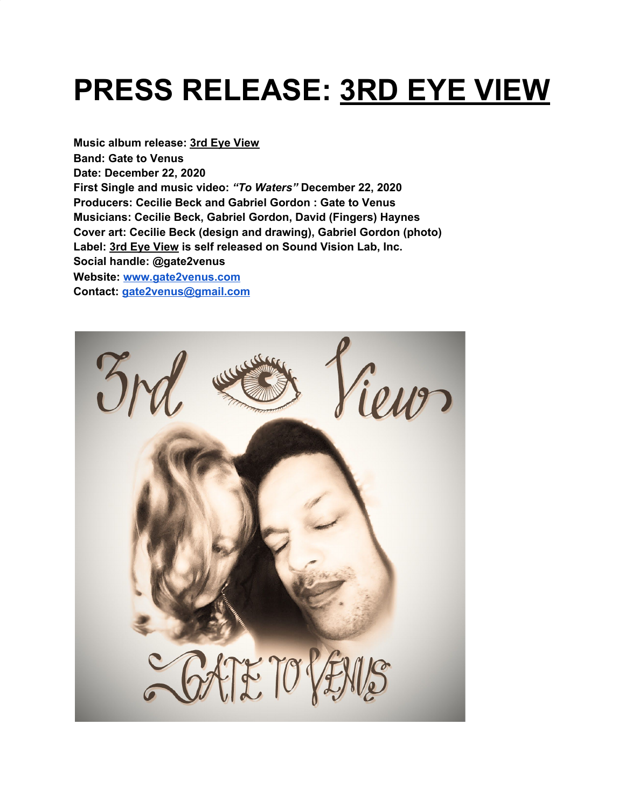## **PRESS RELEASE: 3RD EYE VIEW**

**Music album release: 3rd Eye View Band: Gate to Venus Date: December 22, 2020 First Single and music video:** *"To Waters"* **December 22, 2020 Producers: Cecilie Beck and Gabriel Gordon : Gate to Venus Musicians: Cecilie Beck, Gabriel Gordon, David (Fingers) Haynes Cover art: Cecilie Beck (design and drawing), Gabriel Gordon (photo) Label: 3rd Eye View is self released on Sound Vision Lab, Inc. Social handle: @gate2venus Website: [www.gate2venus.com](http://www.gate2venus.com/) Contact: [gate2venus@gmail.com](mailto:gate2venus@gmail.com)**